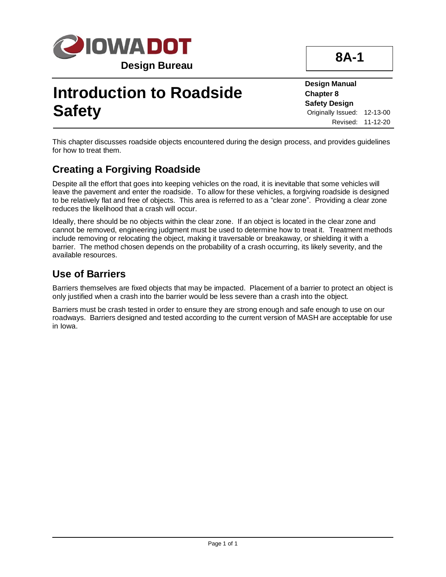

## **Introduction to Roadside Safety**

**8A-1**

**Design Manual Chapter 8 Safety Design** Originally Issued: 12-13-00 Revised: 11-12-20

This chapter discusses roadside objects encountered during the design process, and provides guidelines for how to treat them.

## **Creating a Forgiving Roadside**

Despite all the effort that goes into keeping vehicles on the road, it is inevitable that some vehicles will leave the pavement and enter the roadside. To allow for these vehicles, a forgiving roadside is designed to be relatively flat and free of objects. This area is referred to as a "clear zone". Providing a clear zone reduces the likelihood that a crash will occur.

Ideally, there should be no objects within the clear zone. If an object is located in the clear zone and cannot be removed, engineering judgment must be used to determine how to treat it. Treatment methods include removing or relocating the object, making it traversable or breakaway, or shielding it with a barrier. The method chosen depends on the probability of a crash occurring, its likely severity, and the available resources.

## **Use of Barriers**

Barriers themselves are fixed objects that may be impacted. Placement of a barrier to protect an object is only justified when a crash into the barrier would be less severe than a crash into the object.

Barriers must be crash tested in order to ensure they are strong enough and safe enough to use on our roadways. Barriers designed and tested according to the current version of MASH are acceptable for use in Iowa.